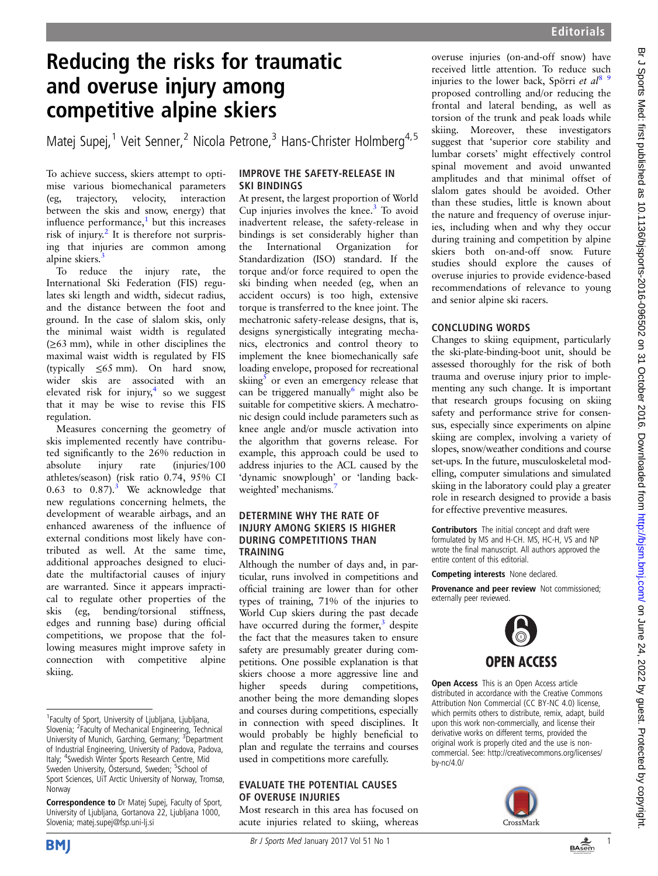# Reducing the risks for traumatic and overuse injury among competitive alpine skiers

Matej Supej,<sup>1</sup> Veit Senner,<sup>2</sup> Nicola Petrone,<sup>3</sup> Hans-Christer Holmberg<sup>4,5</sup>

To achieve success, skiers attempt to optimise various biomechanical parameters (eg, trajectory, velocity, interaction between the skis and snow, energy) that influence performance, $\frac{1}{1}$  but this increases risk of injury. $2$  It is therefore not surprising that injuries are common among alpine skiers.<sup>3</sup>

To reduce the injury rate, the International Ski Federation (FIS) regulates ski length and width, sidecut radius, and the distance between the foot and ground. In the case of slalom skis, only the minimal waist width is regulated (≥63 mm), while in other disciplines the maximal waist width is regulated by FIS (typically  $\leq 65$  mm). On hard snow, wider skis are associated with an elevated risk for injury, $4$  so we suggest that it may be wise to revise this FIS regulation.

Measures concerning the geometry of skis implemented recently have contributed significantly to the 26% reduction in<br>absolute injury rate (injuries/100) absolute injury rate (injuries/100 athletes/season) (risk ratio 0.74, 95% CI 0.63 to  $0.87$ ).<sup>3</sup> We acknowledge that new regulations concerning helmets, the development of wearable airbags, and an enhanced awareness of the influence of external conditions most likely have contributed as well. At the same time, additional approaches designed to elucidate the multifactorial causes of injury are warranted. Since it appears impractical to regulate other properties of the skis (eg, bending/torsional stiffness, edges and running base) during official competitions, we propose that the following measures might improve safety in connection with competitive alpine skiing.

### IMPROVE THE SAFETY-RELEASE IN SKI BINDINGS

At present, the largest proportion of World Cup injuries involves the knee. $3$  To avoid inadvertent release, the safety-release in bindings is set considerably higher than<br>the International Organization for International Organization for Standardization (ISO) standard. If the torque and/or force required to open the ski binding when needed (eg, when an accident occurs) is too high, extensive torque is transferred to the knee joint. The mechatronic safety-release designs, that is, designs synergistically integrating mechanics, electronics and control theory to implement the knee biomechanically safe loading envelope, proposed for recreational skiing $\overline{s}$  or even an emergency release that can be triggered manually might also be suitable for competitive skiers. A mechatronic design could include parameters such as knee angle and/or muscle activation into the algorithm that governs release. For example, this approach could be used to address injuries to the ACL caused by the 'dynamic snowplough' or 'landing backweighted' mechanisms.<sup>7</sup>

#### DETERMINE WHY THE RATE OF INJURY AMONG SKIERS IS HIGHER DURING COMPETITIONS THAN TRAINING

Although the number of days and, in particular, runs involved in competitions and official training are lower than for other types of training, 71% of the injuries to World Cup skiers during the past decade have occurred during the former, $3$  despite the fact that the measures taken to ensure safety are presumably greater during competitions. One possible explanation is that skiers choose a more aggressive line and higher speeds during competitions, another being the more demanding slopes and courses during competitions, especially in connection with speed disciplines. It would probably be highly beneficial to plan and regulate the terrains and courses used in competitions more carefully.

#### EVALUATE THE POTENTIAL CAUSES OF OVERUSE INJURIES

Most research in this area has focused on acute injuries related to skiing, whereas overuse injuries (on-and-off snow) have received little attention. To reduce such injuries to the lower back, Spörri et  $al^{8}$ <sup>9</sup> proposed controlling and/or reducing the frontal and lateral bending, as well as torsion of the trunk and peak loads while skiing. Moreover, these investigators suggest that 'superior core stability and lumbar corsets' might effectively control spinal movement and avoid unwanted amplitudes and that minimal offset of slalom gates should be avoided. Other than these studies, little is known about the nature and frequency of overuse injuries, including when and why they occur during training and competition by alpine skiers both on-and-off snow. Future studies should explore the causes of overuse injuries to provide evidence-based recommendations of relevance to young and senior alpine ski racers.

## CONCLUDING WORDS

Changes to skiing equipment, particularly the ski-plate-binding-boot unit, should be assessed thoroughly for the risk of both trauma and overuse injury prior to implementing any such change. It is important that research groups focusing on skiing safety and performance strive for consensus, especially since experiments on alpine skiing are complex, involving a variety of slopes, snow/weather conditions and course set-ups. In the future, musculoskeletal modelling, computer simulations and simulated skiing in the laboratory could play a greater role in research designed to provide a basis for effective preventive measures.

Contributors The initial concept and draft were formulated by MS and H-CH. MS, HC-H, VS and NP wrote the final manuscript. All authors approved the entire content of this editorial.

Competing interests None declared.

Provenance and peer review Not commissioned; externally peer reviewed.



**Open Access** This is an Open Access article distributed in accordance with the Creative Commons Attribution Non Commercial (CC BY-NC 4.0) license, which permits others to distribute, remix, adapt, build upon this work non-commercially, and license their derivative works on different terms, provided the original work is properly cited and the use is noncommercial. See: [http://creativecommons.org/licenses/](http://creativecommons.org/licenses/by-nc/4.0/) [by-nc/4.0/](http://creativecommons.org/licenses/by-nc/4.0/)





<sup>&</sup>lt;sup>1</sup> Faculty of Sport, University of Ljubljana, Ljubljana, Slovenia; <sup>2</sup>Faculty of Mechanical Engineering, Technical University of Munich, Garching, Germany; <sup>3</sup>Department of Industrial Engineering, University of Padova, Padova, Italy; <sup>4</sup>Swedish Winter Sports Research Centre, Mid Sweden University, Östersund, Sweden; <sup>5</sup>School of Sport Sciences, UiT Arctic University of Norway, Tromsø, Norway

Correspondence to Dr Matej Supej, Faculty of Sport, University of Ljubljana, Gortanova 22, Ljubljana 1000, Slovenia; matej.supej@fsp.uni-lj.si